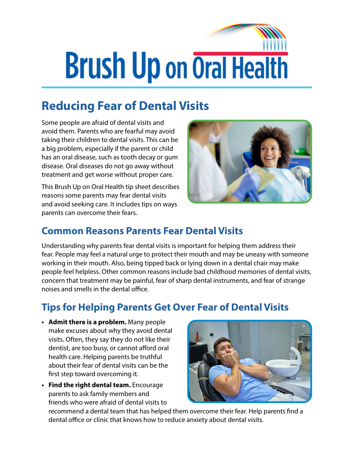## **Brush Up on Oral Health**

## **Reducing Fear of Dental Visits**

Some people are afraid of dental visits and avoid them. Parents who are fearful may avoid taking their children to dental visits. This can be a big problem, especially if the parent or child has an oral disease, such as tooth decay or gum disease. Oral diseases do not go away without treatment and get worse without proper care.

This Brush Up on Oral Health tip sheet describes reasons some parents may fear dental visits and avoid seeking care. It includes tips on ways parents can overcome their fears.



## **Common Reasons Parents Fear Dental Visits**

Understanding why parents fear dental visits is important for helping them address their fear. People may feel a natural urge to protect their mouth and may be uneasy with someone working in their mouth. Also, being tipped back or lying down in a dental chair may make people feel helpless. Other common reasons include bad childhood memories of dental visits, concern that treatment may be painful, fear of sharp dental instruments, and fear of strange noises and smells in the dental office.

## **Tips for Helping Parents Get Over Fear of Dental Visits**

- **• Admit there is a problem.** Many people make excuses about why they avoid dental visits. Often, they say they do not like their dentist, are too busy, or cannot afford oral health care. Helping parents be truthful about their fear of dental visits can be the first step toward overcoming it.
- **• Find the right dental team.** Encourage parents to ask family members and friends who were afraid of dental visits to



recommend a dental team that has helped them overcome their fear. Help parents find a dental office or clinic that knows how to reduce anxiety about dental visits.